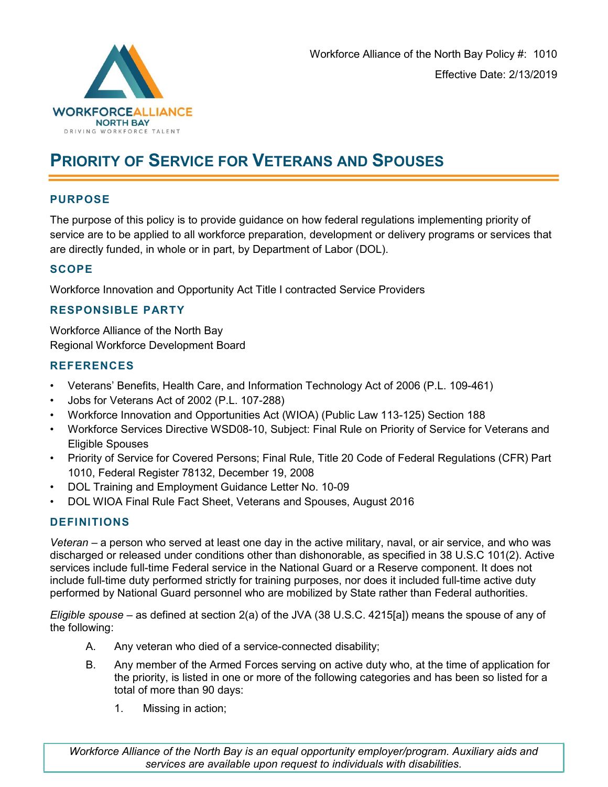

# PRIORITY OF SERVICE FOR VETERANS AND SPOUSES

### PURPOSE

The purpose of this policy is to provide guidance on how federal regulations implementing priority of service are to be applied to all workforce preparation, development or delivery programs or services that are directly funded, in whole or in part, by Department of Labor (DOL).

#### **SCOPE**

Workforce Innovation and Opportunity Act Title I contracted Service Providers

#### RESPONSIBLE PARTY

Workforce Alliance of the North Bay Regional Workforce Development Board

#### **REFERENCES**

- Veterans' Benefits, Health Care, and Information Technology Act of 2006 (P.L. 109-461)
- Jobs for Veterans Act of 2002 (P.L. 107-288)
- Workforce Innovation and Opportunities Act (WIOA) (Public Law 113-125) Section 188
- Workforce Services Directive WSD08-10, Subject: Final Rule on Priority of Service for Veterans and Eligible Spouses
- Priority of Service for Covered Persons; Final Rule, Title 20 Code of Federal Regulations (CFR) Part 1010, Federal Register 78132, December 19, 2008
- DOL Training and Employment Guidance Letter No. 10-09
- DOL WIOA Final Rule Fact Sheet, Veterans and Spouses, August 2016

#### DEFINITIONS

Veteran – a person who served at least one day in the active military, naval, or air service, and who was discharged or released under conditions other than dishonorable, as specified in 38 U.S.C 101(2). Active services include full-time Federal service in the National Guard or a Reserve component. It does not include full-time duty performed strictly for training purposes, nor does it included full-time active duty performed by National Guard personnel who are mobilized by State rather than Federal authorities.

Eligible spouse – as defined at section 2(a) of the JVA (38 U.S.C. 4215[a]) means the spouse of any of the following:

- A. Any veteran who died of a service-connected disability;
- B. Any member of the Armed Forces serving on active duty who, at the time of application for the priority, is listed in one or more of the following categories and has been so listed for a total of more than 90 days:
	- 1. Missing in action;

Workforce Alliance of the North Bay is an equal opportunity employer/program. Auxiliary aids and services are available upon request to individuals with disabilities.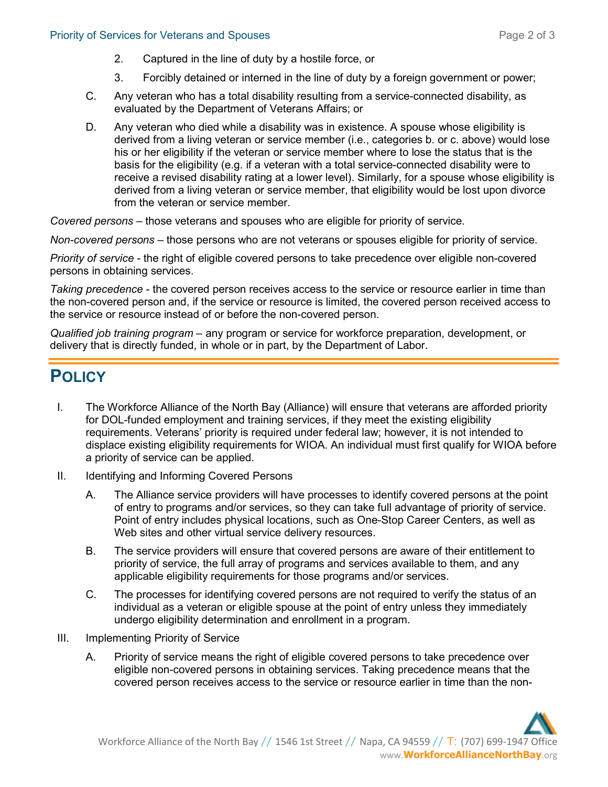- 2. Captured in the line of duty by a hostile force, or
- 3. Forcibly detained or interned in the line of duty by a foreign government or power;
- C. Any veteran who has a total disability resulting from a service-connected disability, as evaluated by the Department of Veterans Affairs; or
- D. Any veteran who died while a disability was in existence. A spouse whose eligibility is derived from a living veteran or service member (i.e., categories b. or c. above) would lose his or her eligibility if the veteran or service member where to lose the status that is the basis for the eligibility (e.g. if a veteran with a total service-connected disability were to receive a revised disability rating at a lower level). Similarly, for a spouse whose eligibility is derived from a living veteran or service member, that eligibility would be lost upon divorce from the veteran or service member.

Covered persons – those veterans and spouses who are eligible for priority of service.

Non-covered persons – those persons who are not veterans or spouses eligible for priority of service.

Priority of service - the right of eligible covered persons to take precedence over eligible non-covered persons in obtaining services.

Taking precedence - the covered person receives access to the service or resource earlier in time than the non-covered person and, if the service or resource is limited, the covered person received access to the service or resource instead of or before the non-covered person.

Qualified job training program – any program or service for workforce preparation, development, or delivery that is directly funded, in whole or in part, by the Department of Labor.

## **POLICY**

- I. The Workforce Alliance of the North Bay (Alliance) will ensure that veterans are afforded priority for DOL-funded employment and training services, if they meet the existing eligibility requirements. Veterans' priority is required under federal law; however, it is not intended to displace existing eligibility requirements for WIOA. An individual must first qualify for WIOA before a priority of service can be applied.
- II. Identifying and Informing Covered Persons
	- A. The Alliance service providers will have processes to identify covered persons at the point of entry to programs and/or services, so they can take full advantage of priority of service. Point of entry includes physical locations, such as One-Stop Career Centers, as well as Web sites and other virtual service delivery resources.
	- B. The service providers will ensure that covered persons are aware of their entitlement to priority of service, the full array of programs and services available to them, and any applicable eligibility requirements for those programs and/or services.
	- C. The processes for identifying covered persons are not required to verify the status of an individual as a veteran or eligible spouse at the point of entry unless they immediately undergo eligibility determination and enrollment in a program.
- III. Implementing Priority of Service
	- A. Priority of service means the right of eligible covered persons to take precedence over eligible non-covered persons in obtaining services. Taking precedence means that the covered person receives access to the service or resource earlier in time than the non-